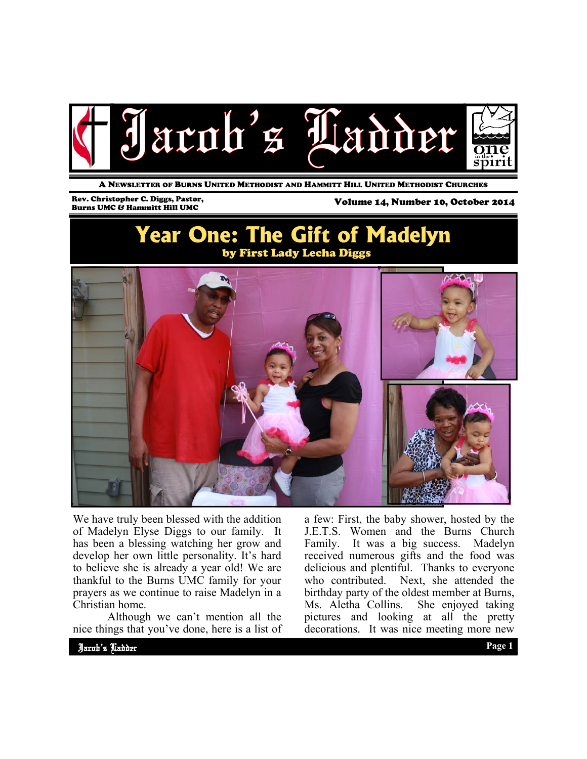

A NEWSLETTER OF BURNS UNITED METHODIST AND HAMMITT HILL UNITED METHODIST CHURCHES

### Rev. Christopher C. Diggs, Pastor,

Volume 14, Number 10, October 2014

## **Year One: The Gift of Madelyn**  by First Lady Lecha Diggs



We have truly been blessed with the addition of Madelyn Elyse Diggs to our family. It has been a blessing watching her grow and develop her own little personality. It's hard to believe she is already a year old! We are thankful to the Burns UMC family for your prayers as we continue to raise Madelyn in a Christian home.

 Although we can't mention all the nice things that you've done, here is a list of a few: First, the baby shower, hosted by the J.E.T.S. Women and the Burns Church Family. It was a big success. Madelyn received numerous gifts and the food was delicious and plentiful. Thanks to everyone who contributed. Next, she attended the birthday party of the oldest member at Burns, Ms. Aletha Collins. She enjoyed taking pictures and looking at all the pretty decorations. It was nice meeting more new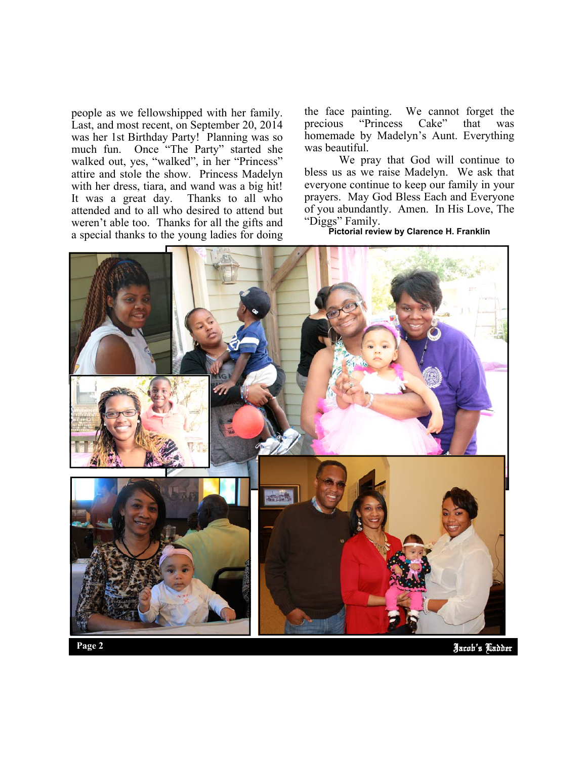people as we fellowshipped with her family. Last, and most recent, on September 20, 2014 was her 1st Birthday Party! Planning was so much fun. Once "The Party" started she walked out, yes, "walked", in her "Princess" attire and stole the show. Princess Madelyn with her dress, tiara, and wand was a big hit!<br>It was a great day. Thanks to all who It was a great day. attended and to all who desired to attend but weren't able too. Thanks for all the gifts and a special thanks to the young ladies for doing the face painting. We cannot forget the<br>precious "Princess Cake" that was "Princess Cake" that was homemade by Madelyn's Aunt. Everything was beautiful.

 We pray that God will continue to bless us as we raise Madelyn. We ask that everyone continue to keep our family in your prayers. May God Bless Each and Everyone of you abundantly. Amen. In His Love, The "Diggs" Family.

**Pictorial review by Clarence H. Franklin** 



Jacob's Ladder **Page 2**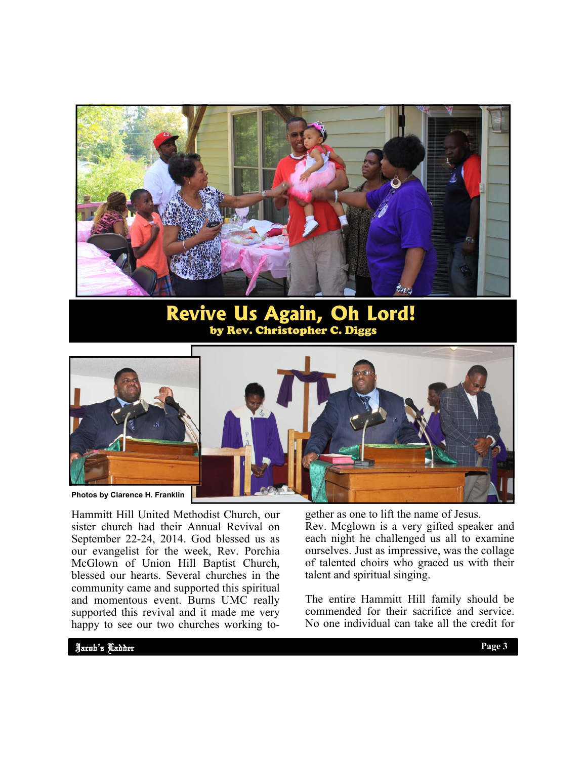

### **Revive Us Again, Oh Lord!** by Rev. Christopher C. Diggs



Hammitt Hill United Methodist Church, our sister church had their Annual Revival on September 22-24, 2014. God blessed us as our evangelist for the week, Rev. Porchia McGlown of Union Hill Baptist Church, blessed our hearts. Several churches in the community came and supported this spiritual and momentous event. Burns UMC really supported this revival and it made me very happy to see our two churches working together as one to lift the name of Jesus. Rev. Mcglown is a very gifted speaker and each night he challenged us all to examine ourselves. Just as impressive, was the collage of talented choirs who graced us with their talent and spiritual singing.

The entire Hammitt Hill family should be commended for their sacrifice and service. No one individual can take all the credit for